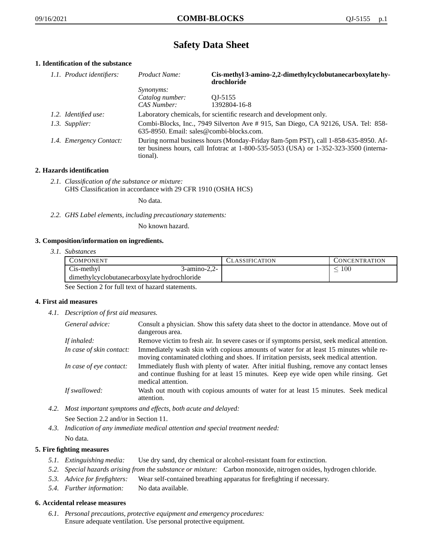# **Safety Data Sheet**

## **1. Identification of the substance**

| 1.1. Product identifiers: | Product Name:                                                                                                                                                                               | Cis-methyl 3-amino-2,2-dimethylcyclobutanecarboxylate hy-<br>drochloride |
|---------------------------|---------------------------------------------------------------------------------------------------------------------------------------------------------------------------------------------|--------------------------------------------------------------------------|
|                           | <i>Synonyms:</i>                                                                                                                                                                            |                                                                          |
|                           | Catalog number:                                                                                                                                                                             | OJ-5155                                                                  |
|                           | CAS Number:                                                                                                                                                                                 | 1392804-16-8                                                             |
| 1.2. Identified use:      |                                                                                                                                                                                             | Laboratory chemicals, for scientific research and development only.      |
| 1.3. Supplier:            | Combi-Blocks, Inc., 7949 Silverton Ave #915, San Diego, CA 92126, USA. Tel: 858-<br>$635-8950$ . Email: sales@combi-blocks.com.                                                             |                                                                          |
| 1.4. Emergency Contact:   | During normal business hours (Monday-Friday 8am-5pm PST), call 1-858-635-8950. Af-<br>ter business hours, call Infotrac at $1-800-535-5053$ (USA) or $1-352-323-3500$ (interna-<br>tional). |                                                                          |

## **2. Hazards identification**

*2.1. Classification of the substance or mixture:* GHS Classification in accordance with 29 CFR 1910 (OSHA HCS)

No data.

*2.2. GHS Label elements, including precautionary statements:*

No known hazard.

#### **3. Composition/information on ingredients.**

*3.1. Substances*

| COMPONENT                                    | <b>CLASSIFICATION</b> | CONCENTRATION |
|----------------------------------------------|-----------------------|---------------|
| $\sim$<br>Cis-methyl                         | 3-amino-2,2-          | 100           |
| dimethylcyclobutanecarboxylate hydrochloride |                       |               |

See Section 2 for full text of hazard statements.

#### **4. First aid measures**

*4.1. Description of first aid measures.*

| General advice:          | Consult a physician. Show this safety data sheet to the doctor in attendance. Move out of<br>dangerous area.                                                                                            |
|--------------------------|---------------------------------------------------------------------------------------------------------------------------------------------------------------------------------------------------------|
| If inhaled:              | Remove victim to fresh air. In severe cases or if symptoms persist, seek medical attention.                                                                                                             |
| In case of skin contact: | Immediately wash skin with copious amounts of water for at least 15 minutes while re-<br>moving contaminated clothing and shoes. If irritation persists, seek medical attention.                        |
| In case of eye contact:  | Immediately flush with plenty of water. After initial flushing, remove any contact lenses<br>and continue flushing for at least 15 minutes. Keep eye wide open while rinsing. Get<br>medical attention. |
| If swallowed:            | Wash out mouth with copious amounts of water for at least 15 minutes. Seek medical<br>attention.                                                                                                        |

- *4.2. Most important symptoms and effects, both acute and delayed:* See Section 2.2 and/or in Section 11.
- *4.3. Indication of any immediate medical attention and special treatment needed:* No data.

#### **5. Fire fighting measures**

- *5.1. Extinguishing media:* Use dry sand, dry chemical or alcohol-resistant foam for extinction.
- *5.2. Special hazards arising from the substance or mixture:* Carbon monoxide, nitrogen oxides, hydrogen chloride.
- *5.3. Advice for firefighters:* Wear self-contained breathing apparatus for firefighting if necessary.
- *5.4. Further information:* No data available.

#### **6. Accidental release measures**

*6.1. Personal precautions, protective equipment and emergency procedures:* Ensure adequate ventilation. Use personal protective equipment.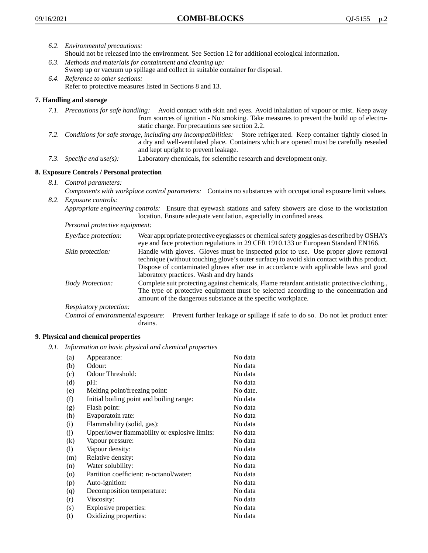- *6.2. Environmental precautions:*
	- Should not be released into the environment. See Section 12 for additional ecological information.
- *6.3. Methods and materials for containment and cleaning up:* Sweep up or vacuum up spillage and collect in suitable container for disposal.
- *6.4. Reference to other sections:* Refer to protective measures listed in Sections 8 and 13.

## **7. Handling and storage**

- *7.1. Precautions for safe handling:* Avoid contact with skin and eyes. Avoid inhalation of vapour or mist. Keep away from sources of ignition - No smoking. Take measures to prevent the build up of electrostatic charge. For precautions see section 2.2.
- *7.2. Conditions for safe storage, including any incompatibilities:* Store refrigerated. Keep container tightly closed in a dry and well-ventilated place. Containers which are opened must be carefully resealed and kept upright to prevent leakage.
- *7.3. Specific end use(s):* Laboratory chemicals, for scientific research and development only.

## **8. Exposure Controls / Personal protection**

*8.1. Control parameters:*

*Components with workplace control parameters:* Contains no substances with occupational exposure limit values. *8.2. Exposure controls:*

*Appropriate engineering controls:* Ensure that eyewash stations and safety showers are close to the workstation location. Ensure adequate ventilation, especially in confined areas.

*Personal protective equipment:*

| Eye/face protection:    | Wear appropriate protective eyeglasses or chemical safety goggles as described by OSHA's<br>eye and face protection regulations in 29 CFR 1910.133 or European Standard EN166.                                                                                                                                         |
|-------------------------|------------------------------------------------------------------------------------------------------------------------------------------------------------------------------------------------------------------------------------------------------------------------------------------------------------------------|
| Skin protection:        | Handle with gloves. Gloves must be inspected prior to use. Use proper glove removal<br>technique (without touching glove's outer surface) to avoid skin contact with this product.<br>Dispose of contaminated gloves after use in accordance with applicable laws and good<br>laboratory practices. Wash and dry hands |
| <b>Body Protection:</b> | Complete suit protecting against chemicals, Flame retardant antistatic protective clothing.,<br>The type of protective equipment must be selected according to the concentration and<br>amount of the dangerous substance at the specific workplace.                                                                   |
| Respiratory protection: |                                                                                                                                                                                                                                                                                                                        |

Control of environmental exposure: Prevent further leakage or spillage if safe to do so. Do not let product enter drains.

#### **9. Physical and chemical properties**

*9.1. Information on basic physical and chemical properties*

| (a)                          | Appearance:                                   | No data  |
|------------------------------|-----------------------------------------------|----------|
| (b)                          | Odour:                                        | No data  |
| (c)                          | Odour Threshold:                              | No data  |
| (d)                          | pH:                                           | No data  |
| (e)                          | Melting point/freezing point:                 | No date. |
| (f)                          | Initial boiling point and boiling range:      | No data  |
| (g)                          | Flash point:                                  | No data  |
| (h)                          | Evaporatoin rate:                             | No data  |
| (i)                          | Flammability (solid, gas):                    | No data  |
| (j)                          | Upper/lower flammability or explosive limits: | No data  |
| (k)                          | Vapour pressure:                              | No data  |
| $\left( \frac{1}{2} \right)$ | Vapour density:                               | No data  |
| (m)                          | Relative density:                             | No data  |
| (n)                          | Water solubility:                             | No data  |
| $\circ$                      | Partition coefficient: n-octanol/water:       | No data  |
| (p)                          | Auto-ignition:                                | No data  |
| (q)                          | Decomposition temperature:                    | No data  |
| (r)                          | Viscosity:                                    | No data  |
| (s)                          | Explosive properties:                         | No data  |
| (t)                          | Oxidizing properties:                         | No data  |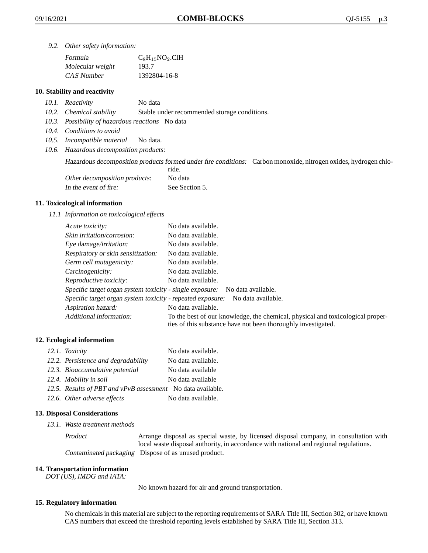*9.2. Other safety information:*

| Formula          | $C_8H_{15}NO_2$ .ClH |
|------------------|----------------------|
| Molecular weight | 193.7                |
| CAS Number       | 1392804-16-8         |

## **10. Stability and reactivity**

- *10.1. Reactivity* No data
- *10.2. Chemical stability* Stable under recommended storage conditions.
- *10.3. Possibility of hazardous reactions* No data
- *10.4. Conditions to avoid*
- *10.5. Incompatible material* No data.
- *10.6. Hazardous decomposition products:*

Hazardous decomposition products formed under fire conditions: Carbon monoxide, nitrogen oxides, hydrogen chlo-

|                               | ride.          |
|-------------------------------|----------------|
| Other decomposition products: | No data        |
| In the event of fire:         | See Section 5. |

#### **11. Toxicological information**

*11.1 Information on toxicological effects*

| Acute toxicity:                                            | No data available.                                                                                                                              |
|------------------------------------------------------------|-------------------------------------------------------------------------------------------------------------------------------------------------|
| Skin irritation/corrosion:                                 | No data available.                                                                                                                              |
| Eye damage/irritation:                                     | No data available.                                                                                                                              |
| Respiratory or skin sensitization:                         | No data available.                                                                                                                              |
| Germ cell mutagenicity:                                    | No data available.                                                                                                                              |
| Carcinogenicity:                                           | No data available.                                                                                                                              |
| Reproductive toxicity:                                     | No data available.                                                                                                                              |
| Specific target organ system toxicity - single exposure:   | No data available.                                                                                                                              |
| Specific target organ system toxicity - repeated exposure: | No data available.                                                                                                                              |
| Aspiration hazard:                                         | No data available.                                                                                                                              |
| Additional information:                                    | To the best of our knowledge, the chemical, physical and toxicological proper-<br>ties of this substance have not been thoroughly investigated. |

#### **12. Ecological information**

| 12.1. Toxicity                                              | No data available. |
|-------------------------------------------------------------|--------------------|
| 12.2. Persistence and degradability                         | No data available. |
| 12.3. Bioaccumulative potential                             | No data available  |
| 12.4. Mobility in soil                                      | No data available  |
| 12.5. Results of PBT and vPvB assessment No data available. |                    |
| 12.6. Other adverse effects                                 | No data available. |

#### **13. Disposal Considerations**

*13.1. Waste treatment methods*

Product Arrange disposal as special waste, by licensed disposal company, in consultation with local waste disposal authority, in accordance with national and regional regulations. Contaminated packaging Dispose of as unused product.

#### **14. Transportation information**

*DOT (US), IMDG and IATA:*

No known hazard for air and ground transportation.

#### **15. Regulatory information**

No chemicals in this material are subject to the reporting requirements of SARA Title III, Section 302, or have known CAS numbers that exceed the threshold reporting levels established by SARA Title III, Section 313.